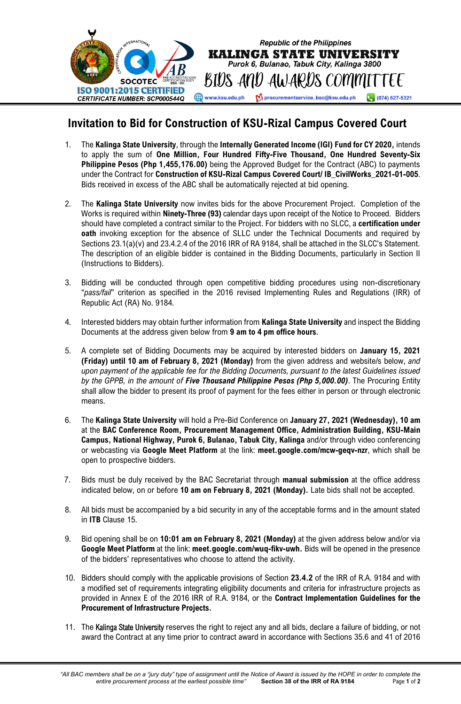

## **Invitation to Bid for Construction of KSU-Rizal Campus Covered Court**

- 1. The **Kalinga State University**, through the **Internally Generated Income (IGI) Fund for CY 2020,** intends to apply the sum of **One Million, Four Hundred Fifty-Five Thousand, One Hundred Seventy-Six Philippine Pesos (Php 1,455,176.00)** being the Approved Budget for the Contract (ABC) to payments under the Contract for **Construction of KSU-Rizal Campus Covered Court/ IB\_CivilWorks\_2021-01-005**. Bids received in excess of the ABC shall be automatically rejected at bid opening.
- 2. The **Kalinga State University** now invites bids for the above Procurement Project. Completion of the Works is required within **Ninety-Three (93)** calendar days upon receipt of the Notice to Proceed. Bidders should have completed a contract similar to the Project. For bidders with no SLCC, a **certification under oath** invoking exception for the absence of SLLC under the Technical Documents and required by Sections 23.1(a)(v) and 23.4.2.4 of the 2016 IRR of RA 9184, shall be attached in the SLCC's Statement. The description of an eligible bidder is contained in the Bidding Documents, particularly in Section II (Instructions to Bidders).
- 3. Bidding will be conducted through open competitive bidding procedures using non-discretionary "*pass/fail*" criterion as specified in the 2016 revised Implementing Rules and Regulations (IRR) of Republic Act (RA) No. 9184.
- 4. Interested bidders may obtain further information from **Kalinga State University** and inspect the Bidding Documents at the address given below from **9 am to 4 pm office hours**.
- 5. A complete set of Bidding Documents may be acquired by interested bidders on **January 15, 2021 (Friday) until 10 am of February 8, 2021 (Monday)** from the given address and website/s below, *and upon payment of the applicable fee for the Bidding Documents, pursuant to the latest Guidelines issued by the GPPB, in the amount of Five Thousand Philippine Pesos (Php 5,000.00)*. The Procuring Entity shall allow the bidder to present its proof of payment for the fees either in person or through electronic means.
- 6. The **Kalinga State University** will hold a Pre-Bid Conference on **January 27, 2021 (Wednesday), 10 am**  at the **BAC Conference Room, Procurement Management Office, Administration Building, KSU-Main Campus, National Highway, Purok 6, Bulanao, Tabuk City, Kalinga** and/or through video conferencing or webcasting via **Google Meet Platform** at the link: **meet.google.com/mcw-geqv-nzr**, which shall be open to prospective bidders.
- 7. Bids must be duly received by the BAC Secretariat through **manual submission** at the office address indicated below, on or before **10 am on February 8, 2021 (Monday).** Late bids shall not be accepted.
- 8. All bids must be accompanied by a bid security in any of the acceptable forms and in the amount stated in **ITB** Clause 15.
- 9. Bid opening shall be on **10:01 am on February 8, 2021 (Monday)** at the given address below and/or via **Google Meet Platform** at the link: **meet.google.com/wuq-fikv-uwh.** Bids will be opened in the presence of the bidders' representatives who choose to attend the activity.
- 10. Bidders should comply with the applicable provisions of Section **23.4.2** of the IRR of R.A. 9184 and with a modified set of requirements integrating eligibility documents and criteria for infrastructure projects as provided in Annex E of the 2016 IRR of R.A. 9184, or the **Contract Implementation Guidelines for the Procurement of Infrastructure Projects.**
- 11. The Kalinga State University reserves the right to reject any and all bids, declare a failure of bidding, or not award the Contract at any time prior to contract award in accordance with Sections 35.6 and 41 of 2016